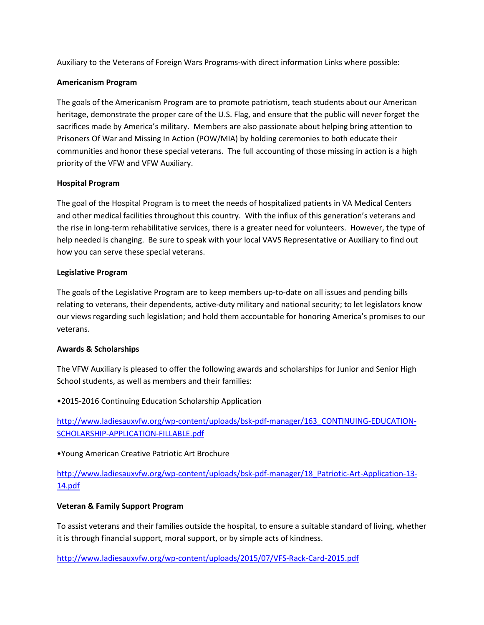Auxiliary to the Veterans of Foreign Wars Programs-with direct information Links where possible:

# **Americanism Program**

The goals of the Americanism Program are to promote patriotism, teach students about our American heritage, demonstrate the proper care of the U.S. Flag, and ensure that the public will never forget the sacrifices made by America's military. Members are also passionate about helping bring attention to Prisoners Of War and Missing In Action (POW/MIA) by holding ceremonies to both educate their communities and honor these special veterans. The full accounting of those missing in action is a high priority of the VFW and VFW Auxiliary.

#### **Hospital Program**

The goal of the Hospital Program is to meet the needs of hospitalized patients in VA Medical Centers and other medical facilities throughout this country. With the influx of this generation's veterans and the rise in long-term rehabilitative services, there is a greater need for volunteers. However, the type of help needed is changing. Be sure to speak with your local VAVS Representative or Auxiliary to find out how you can serve these special veterans.

#### **Legislative Program**

The goals of the Legislative Program are to keep members up-to-date on all issues and pending bills relating to veterans, their dependents, active-duty military and national security; to let legislators know our views regarding such legislation; and hold them accountable for honoring America's promises to our veterans.

# **Awards & Scholarships**

The VFW Auxiliary is pleased to offer the following awards and scholarships for Junior and Senior High School students, as well as members and their families:

# •2015-2016 Continuing Education Scholarship Application

[http://www.ladiesauxvfw.org/wp-content/uploads/bsk-pdf-](http://www.ladiesauxvfw.org/wp-content/uploads/bsk-pdf-manager/163_CONTINUING-EDUCATION-SCHOLARSHIP-APPLICATION-FILLABLE.pdf)manager/163\_CONTINUING-EDUCATION-[SCHOLARSHIP-](http://www.ladiesauxvfw.org/wp-content/uploads/bsk-pdf-manager/163_CONTINUING-EDUCATION-SCHOLARSHIP-APPLICATION-FILLABLE.pdf)APPLICATION-FILLABLE.pdf

# •Young American Creative Patriotic Art Brochure

# [http://www.ladiesauxvfw.org/wp-content/uploads/bsk-pdf-](http://www.ladiesauxvfw.org/wp-content/uploads/bsk-pdf-manager/18_Patriotic-Art-Application-13-14.pdf)manager/18\_Patriotic-Art-Application-13- [14.pdf](http://www.ladiesauxvfw.org/wp-content/uploads/bsk-pdf-manager/18_Patriotic-Art-Application-13-14.pdf)

# **Veteran & Family Support Program**

To assist veterans and their families outside the hospital, to ensure a suitable standard of living, whether it is through financial support, moral support, or by simple acts of kindness.

[http://www.ladiesauxvfw.org/wp-](http://www.ladiesauxvfw.org/wp-content/uploads/2015/07/VFS-Rack-Card-2015.pdf)content/uploads/2015/07/VFS-Rack-Card-2015.pd[f](http://www.ladiesauxvfw.org/wp-content/uploads/2015/07/VFS-Rack-Card-2015.pdf)